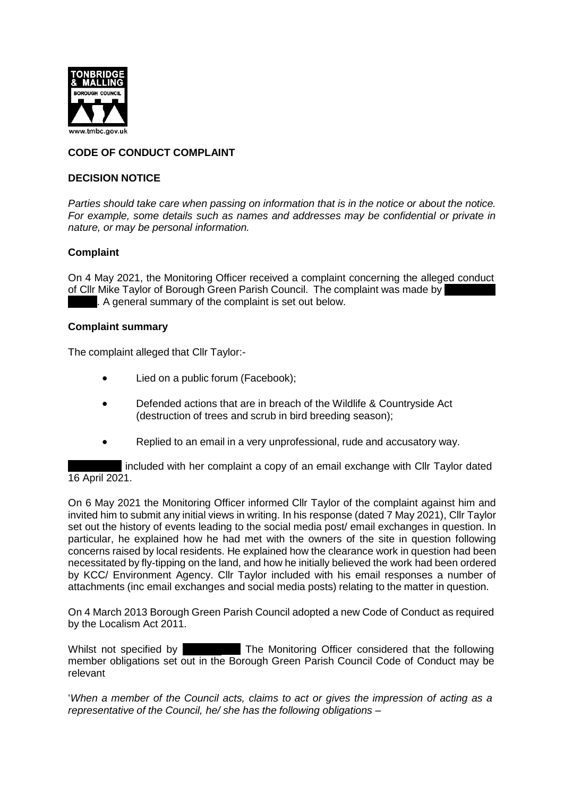

# **CODE OF CONDUCT COMPLAINT**

#### **DECISION NOTICE**

*Parties should take care when passing on information that is in the notice or about the notice. For example, some details such as names and addresses may be confidential or private in nature, or may be personal information.*

### **Complaint**

On 4 May 2021, the Monitoring Officer received a complaint concerning the alleged conduct of Cllr Mike Taylor of Borough Green Parish Council. The complaint was made by . A general summary of the complaint is set out below.

#### **Complaint summary**

The complaint alleged that Cllr Taylor:-

- Lied on a public forum (Facebook);
- Defended actions that are in breach of the Wildlife & Countryside Act (destruction of trees and scrub in bird breeding season);
- Replied to an email in a very unprofessional, rude and accusatory way.

included with her complaint a copy of an email exchange with Cllr Taylor dated 16 April 2021.

On 6 May 2021 the Monitoring Officer informed Cllr Taylor of the complaint against him and invited him to submit any initial views in writing. In his response (dated 7 May 2021), Cllr Taylor set out the history of events leading to the social media post/ email exchanges in question. In particular, he explained how he had met with the owners of the site in question following concerns raised by local residents. He explained how the clearance work in question had been necessitated by fly-tipping on the land, and how he initially believed the work had been ordered by KCC/ Environment Agency. Cllr Taylor included with his email responses a number of attachments (inc email exchanges and social media posts) relating to the matter in question.

On 4 March 2013 Borough Green Parish Council adopted a new Code of Conduct as required by the Localism Act 2011.

Whilst not specified by **Fig. 20. The Monitoring Officer considered that the following** member obligations set out in the Borough Green Parish Council Code of Conduct may be relevant

'*When a member of the Council acts, claims to act or gives the impression of acting as a representative of the Council, he/ she has the following obligations –*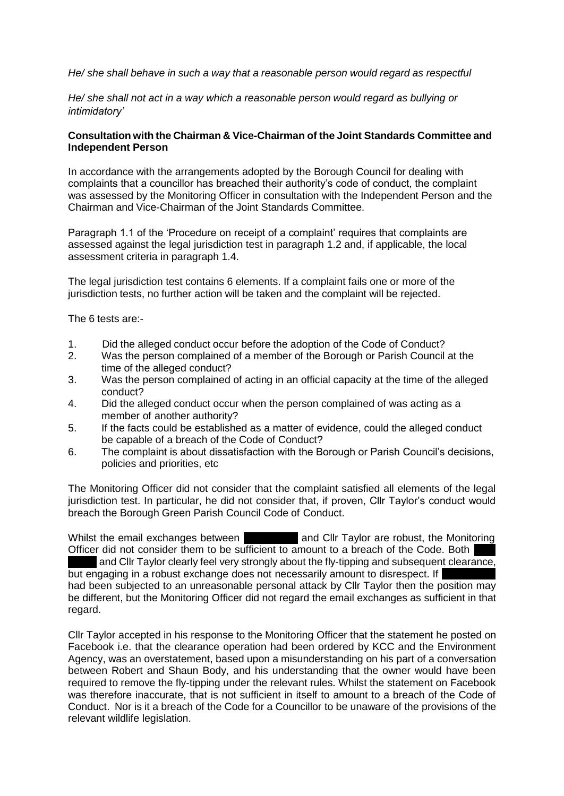*He/ she shall behave in such a way that a reasonable person would regard as respectful*

*He/ she shall not act in a way which a reasonable person would regard as bullying or intimidatory'*

#### **Consultation with the Chairman & Vice-Chairman of the Joint Standards Committee and Independent Person**

In accordance with the arrangements adopted by the Borough Council for dealing with complaints that a councillor has breached their authority's code of conduct, the complaint was assessed by the Monitoring Officer in consultation with the Independent Person and the Chairman and Vice-Chairman of the Joint Standards Committee.

Paragraph 1.1 of the 'Procedure on receipt of a complaint' requires that complaints are assessed against the legal jurisdiction test in paragraph 1.2 and, if applicable, the local assessment criteria in paragraph 1.4.

The legal jurisdiction test contains 6 elements. If a complaint fails one or more of the jurisdiction tests, no further action will be taken and the complaint will be rejected.

The 6 tests are:-

- 1. Did the alleged conduct occur before the adoption of the Code of Conduct?
- 2. Was the person complained of a member of the Borough or Parish Council at the time of the alleged conduct?
- 3. Was the person complained of acting in an official capacity at the time of the alleged conduct?
- 4. Did the alleged conduct occur when the person complained of was acting as a member of another authority?
- 5. If the facts could be established as a matter of evidence, could the alleged conduct be capable of a breach of the Code of Conduct?
- 6. The complaint is about dissatisfaction with the Borough or Parish Council's decisions, policies and priorities, etc

The Monitoring Officer did not consider that the complaint satisfied all elements of the legal jurisdiction test. In particular, he did not consider that, if proven, Cllr Taylor's conduct would breach the Borough Green Parish Council Code of Conduct.

Whilst the email exchanges between **and Cllr Taylor are robust**, the Monitoring Officer did not consider them to be sufficient to amount to a breach of the Code. Both and Cllr Taylor clearly feel very strongly about the fly-tipping and subsequent clearance, but engaging in a robust exchange does not necessarily amount to disrespect. If had been subjected to an unreasonable personal attack by Cllr Taylor then the position may be different, but the Monitoring Officer did not regard the email exchanges as sufficient in that regard.

Cllr Taylor accepted in his response to the Monitoring Officer that the statement he posted on Facebook i.e. that the clearance operation had been ordered by KCC and the Environment Agency, was an overstatement, based upon a misunderstanding on his part of a conversation between Robert and Shaun Body, and his understanding that the owner would have been required to remove the fly-tipping under the relevant rules. Whilst the statement on Facebook was therefore inaccurate, that is not sufficient in itself to amount to a breach of the Code of Conduct. Nor is it a breach of the Code for a Councillor to be unaware of the provisions of the relevant wildlife legislation.